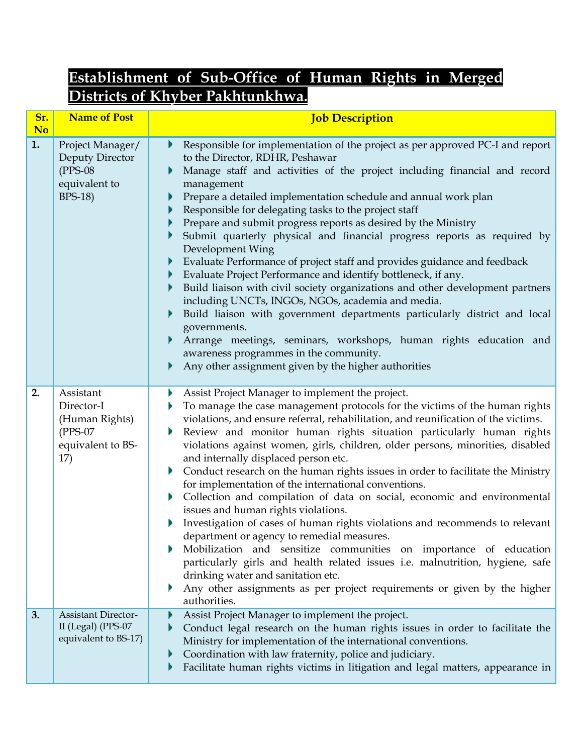## **Establishment of Sub-Office of Human Rights in Merged Districts of Khyber Pakhtunkhwa.**

| Sr.<br>N <sub>o</sub> | <b>Name of Post</b>                                                                   | <b>Job Description</b>                                                                                                                                                                                                                                                                                                                                                                                                                                                                                                                                                                                                                                                                                                                                                                                                                                                                                                                                                                                                                                                                                                    |
|-----------------------|---------------------------------------------------------------------------------------|---------------------------------------------------------------------------------------------------------------------------------------------------------------------------------------------------------------------------------------------------------------------------------------------------------------------------------------------------------------------------------------------------------------------------------------------------------------------------------------------------------------------------------------------------------------------------------------------------------------------------------------------------------------------------------------------------------------------------------------------------------------------------------------------------------------------------------------------------------------------------------------------------------------------------------------------------------------------------------------------------------------------------------------------------------------------------------------------------------------------------|
| 1.                    | Project Manager/<br>Deputy Director<br>$(PPS-08)$<br>equivalent to<br><b>BPS-18</b> ) | Responsible for implementation of the project as per approved PC-I and report<br>to the Director, RDHR, Peshawar<br>Manage staff and activities of the project including financial and record<br>management<br>Prepare a detailed implementation schedule and annual work plan<br>Responsible for delegating tasks to the project staff<br>Prepare and submit progress reports as desired by the Ministry<br>Submit quarterly physical and financial progress reports as required by<br>Development Wing<br>Evaluate Performance of project staff and provides guidance and feedback<br>Evaluate Project Performance and identify bottleneck, if any.<br>Build liaison with civil society organizations and other development partners<br>including UNCTs, INGOs, NGOs, academia and media.<br>Build liaison with government departments particularly district and local<br>governments.<br>Arrange meetings, seminars, workshops, human rights education and<br>awareness programmes in the community.<br>Any other assignment given by the higher authorities                                                           |
| 2.                    | Assistant<br>Director-I<br>(Human Rights)<br>$(PPS-07)$<br>equivalent to BS-<br>17)   | Assist Project Manager to implement the project.<br>Þ<br>To manage the case management protocols for the victims of the human rights<br>violations, and ensure referral, rehabilitation, and reunification of the victims.<br>Review and monitor human rights situation particularly human rights<br>violations against women, girls, children, older persons, minorities, disabled<br>and internally displaced person etc.<br>Conduct research on the human rights issues in order to facilitate the Ministry<br>Þ<br>for implementation of the international conventions.<br>Collection and compilation of data on social, economic and environmental<br>Þ<br>issues and human rights violations.<br>Investigation of cases of human rights violations and recommends to relevant<br>department or agency to remedial measures.<br>Mobilization and sensitize communities on importance of education<br>particularly girls and health related issues i.e. malnutrition, hygiene, safe<br>drinking water and sanitation etc.<br>Any other assignments as per project requirements or given by the higher<br>authorities. |
| 3.                    | <b>Assistant Director-</b><br>II (Legal) (PPS-07<br>equivalent to BS-17)              | Assist Project Manager to implement the project.<br>Conduct legal research on the human rights issues in order to facilitate the<br>Ministry for implementation of the international conventions.<br>Coordination with law fraternity, police and judiciary.<br>Facilitate human rights victims in litigation and legal matters, appearance in                                                                                                                                                                                                                                                                                                                                                                                                                                                                                                                                                                                                                                                                                                                                                                            |